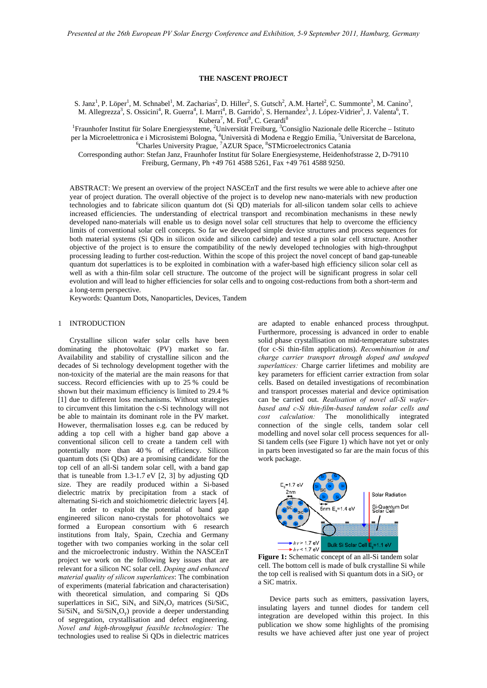## **THE NASCENT PROJECT**

S. Janz<sup>1</sup>, P. Löper<sup>1</sup>, M. Schnabel<sup>1</sup>, M. Zacharias<sup>2</sup>, D. Hiller<sup>2</sup>, S. Gutsch<sup>2</sup>, A.M. Hartel<sup>2</sup>, C. Summonte<sup>3</sup>, M. Canino<sup>3</sup>, M. Allegrezza<sup>3</sup>, S. Ossicini<sup>4</sup>, R. Guerra<sup>4</sup>, I. Marri<sup>4</sup>, B. Garrido<sup>5</sup>, S. Hernandez<sup>5</sup>, J. López-Vidrier<sup>5</sup>, J. Valenta<sup>6</sup>, T. Kubera<sup>7</sup>, M. Foti<sup>8</sup>, C. Gerardi<sup>8</sup>

<sup>1</sup>Fraunhofer Institut für Solare Energiesysteme, <sup>2</sup>Universität Freiburg, <sup>3</sup>Consiglio Nazionale delle Ricerche – Istituto per la Microelettronica e i Microsistemi Bologna, <sup>4</sup>Università di Modena e Reggio Emilia, <sup>5</sup>Universitat de Barcelona,<br><sup>6</sup>Charles University Prague, <sup>7</sup>AZUR Space, <sup>8</sup>STMicroelectronics Catania

Corresponding author: Stefan Janz, Fraunhofer Institut für Solare Energiesysteme, Heidenhofstrasse 2, D-79110 Freiburg, Germany, Ph +49 761 4588 5261, Fax +49 761 4588 9250.

ABSTRACT: We present an overview of the project NASCEnT and the first results we were able to achieve after one year of project duration. The overall objective of the project is to develop new nano-materials with new production technologies and to fabricate silicon quantum dot (Si QD) materials for all-silicon tandem solar cells to achieve increased efficiencies. The understanding of electrical transport and recombination mechanisms in these newly developed nano-materials will enable us to design novel solar cell structures that help to overcome the efficiency limits of conventional solar cell concepts. So far we developed simple device structures and process sequences for both material systems (Si QDs in silicon oxide and silicon carbide) and tested a pin solar cell structure. Another objective of the project is to ensure the compatibility of the newly developed technologies with high-throughput processing leading to further cost-reduction. Within the scope of this project the novel concept of band gap-tuneable quantum dot superlattices is to be exploited in combination with a wafer-based high efficiency silicon solar cell as well as with a thin-film solar cell structure. The outcome of the project will be significant progress in solar cell evolution and will lead to higher efficiencies for solar cells and to ongoing cost-reductions from both a short-term and a long-term perspective.

Keywords: Quantum Dots, Nanoparticles, Devices, Tandem

# 1 INTRODUCTION

Crystalline silicon wafer solar cells have been dominating the photovoltaic (PV) market so far. Availability and stability of crystalline silicon and the decades of Si technology development together with the non-toxicity of the material are the main reasons for that success. Record efficiencies with up to 25 % could be shown but their maximum efficiency is limited to 29.4 % [1] due to different loss mechanisms. Without strategies to circumvent this limitation the c-Si technology will not be able to maintain its dominant role in the PV market. However, thermalisation losses e.g. can be reduced by adding a top cell with a higher band gap above a conventional silicon cell to create a tandem cell with potentially more than 40 % of efficiency. Silicon quantum dots (Si QDs) are a promising candidate for the top cell of an all-Si tandem solar cell, with a band gap that is tuneable from 1.3-1.7 eV [2, 3] by adjusting QD size. They are readily produced within a Si-based dielectric matrix by precipitation from a stack of alternating Si-rich and stoichiometric dielectric layers [4].

<span id="page-0-0"></span>In order to exploit the potential of band gap engineered silicon nano-crystals for photovoltaics we formed a European consortium with 6 research institutions from Italy, Spain, Czechia and Germany together with two companies working in the solar cell and the microelectronic industry. Within the NASCEnT project we work on the following key issues that are relevant for a silicon NC solar cell. *Doping and enhanced material quality of silicon superlattices*: The combination of experiments (material fabrication and characterisation) with theoretical simulation, and comparing Si ODs superlattices in SiC,  $\text{SiN}_x$  and  $\text{SiN}_x\text{O}_y$  matrices (Si/SiC,  $Si/SiN<sub>x</sub>$  and  $Si/SiN<sub>x</sub>O<sub>y</sub>$  provide a deeper understanding of segregation, crystallisation and defect engineering. *Novel and high-throughput feasible technologies:* The technologies used to realise Si QDs in dielectric matrices

are adapted to enable enhanced process throughput. Furthermore, processing is advanced in order to enable solid phase crystallisation on mid-temperature substrates (for c-Si thin-film applications). *Recombination in and charge carrier transport through doped and undoped superlattices:* Charge carrier lifetimes and mobility are key parameters for efficient carrier extraction from solar cells. Based on detailed investigations of recombination and transport processes material and device optimisation can be carried out. *Realisation of novel all-Si waferbased and c-Si thin-film-based tandem solar cells and cost calculation:* The monolithically integrated connection of the single cells, tandem solar cell modelling and novel solar cell process sequences for all-Si tandem cells (see [Figure 1](#page-0-0)) which have not yet or only in parts been investigated so far are the main focus of this work package.



Figure 1: Schematic concept of an all-Si tandem solar cell. The bottom cell is made of bulk crystalline Si while the top cell is realised with Si quantum dots in a  $SiO<sub>2</sub>$  or a SiC matrix.

Device parts such as emitters, passivation layers, insulating layers and tunnel diodes for tandem cell integration are developed within this project. In this publication we show some highlights of the promising results we have achieved after just one year of project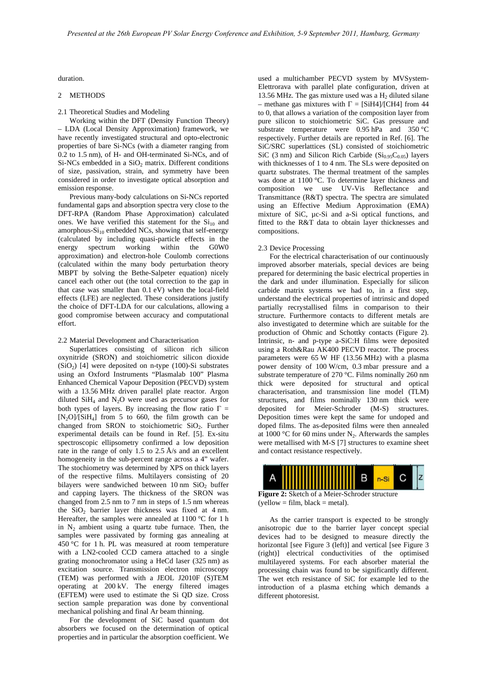duration.

# 2 METHODS

2.1 Theoretical Studies and Modeling

Working within the DFT (Density Function Theory) – LDA (Local Density Approximation) framework, we have recently investigated structural and opto-electronic properties of bare Si-NCs (with a diameter ranging from 0.2 to 1.5 nm), of H- and OH-terminated Si-NCs, and of  $Si-NCs$  embedded in a  $SiO<sub>2</sub>$  matrix. Different conditions of size, passivation, strain, and symmetry have been considered in order to investigate optical absorption and emission response.

Previous many-body calculations on Si-NCs reported fundamental gaps and absorption spectra very close to the DFT-RPA (Random Phase Approximation) calculated ones. We have verified this statement for the  $Si<sub>10</sub>$  and amorphous- $Si<sub>10</sub>$  embedded NCs, showing that self-energy (calculated by including quasi-particle effects in the energy spectrum working within the G0W0 approximation) and electron-hole Coulomb corrections (calculated within the many body perturbation theory MBPT by solving the Bethe-Salpeter equation) nicely cancel each other out (the total correction to the gap in that case was smaller than 0.1 eV) when the local-field effects (LFE) are neglected. These considerations justify the choice of DFT-LDA for our calculations, allowing a good compromise between accuracy and computational effort.

#### 2.2 Material Development and Characterisation

Superlattices consisting of silicon rich silicon oxynitride (SRON) and stoichiometric silicon dioxide  $(SiO<sub>2</sub>)$  [4] were deposited on n-type (100)-Si substrates using an Oxford Instruments "Plasmalab 100" Plasma Enhanced Chemical Vapour Deposition (PECVD) system with a 13.56 MHz driven parallel plate reactor. Argon diluted  $SiH<sub>4</sub>$  and N<sub>2</sub>O were used as precursor gases for both types of layers. By increasing the flow ratio  $\Gamma =$  $[N_2O]/[SiH_4]$  from 5 to 660, the film growth can be changed from SRON to stoichiometric  $SiO<sub>2</sub>$ . Further experimental details can be found in Ref. [5]. Ex-situ spectroscopic ellipsometry confirmed a low deposition rate in the range of only 1.5 to 2.5 Å/s and an excellent homogeneity in the sub-percent range across a 4" wafer. The stochiometry was determined by XPS on thick layers of the respective films. Multilayers consisting of 20 bilayers were sandwiched between  $10 \text{ nm }$  SiO<sub>2</sub> buffer and capping layers. The thickness of the SRON was changed from 2.5 nm to 7 nm in steps of 1.5 nm whereas the  $SiO<sub>2</sub>$  barrier layer thickness was fixed at 4 nm. Hereafter, the samples were annealed at 1100 °C for 1 h in  $N_2$  ambient using a quartz tube furnace. Then, the samples were passivated by forming gas annealing at 450 °C for 1 h. PL was measured at room temperature with a LN2-cooled CCD camera attached to a single grating monochromator using a HeCd laser (325 nm) as excitation source. Transmission electron microscopy (TEM) was performed with a JEOL J2010F (S)TEM operating at 200 kV. The energy filtered images (EFTEM) were used to estimate the Si QD size. Cross section sample preparation was done by conventional mechanical polishing and final Ar beam thinning.

<span id="page-1-0"></span>For the development of SiC based quantum dot absorbers we focused on the determination of optical properties and in particular the absorption coefficient. We

used a multichamber PECVD system by MVSystem-Elettrorava with parallel plate configuration, driven at 13.56 MHz. The gas mixture used was a  $H_2$  diluted silane – methane gas mixtures with  $\Gamma =$  [SiH4]/[CH4] from 44 to 0, that allows a variation of the composition layer from pure silicon to stoichiometric SiC. Gas pressure and substrate temperature were 0.95 hPa and 350 °C respectively. Further details are reported in Ref. [6]. The SiC/SRC superlattices (SL) consisted of stoichiometric SiC (3 nm) and Silicon Rich Carbide ( $Si<sub>0.95</sub>C<sub>0.05</sub>$ ) layers with thicknesses of 1 to 4 nm. The SLs were deposited on quartz substrates. The thermal treatment of the samples was done at 1100 °C. To determine layer thickness and composition we use UV-Vis Reflectance and Transmittance (R&T) spectra. The spectra are simulated using an Effective Medium Approximation (EMA) mixture of SiC, µc-Si and a-Si optical functions, and fitted to the R&T data to obtain layer thicknesses and compositions.

### 2.3 Device Processing

For the electrical characterisation of our continuously improved absorber materials, special devices are being prepared for determining the basic electrical properties in the dark and under illumination. Especially for silicon carbide matrix systems we had to, in a first step, understand the electrical properties of intrinsic and doped partially recrystallised films in comparison to their structure. Furthermore contacts to different metals are also investigated to determine which are suitable for the production of Ohmic and Schottky contacts [\(Figure 2](#page-1-0)). Intrinsic, n- and p-type a-SiC:H films were deposited using a Roth&Rau AK400 PECVD reactor. The process parameters were 65 W HF (13.56 MHz) with a plasma power density of 100 W/cm, 0.3 mbar pressure and a substrate temperature of 270 °C. Films nominally 260 nm thick were deposited for structural and optical characterisation, and transmission line model (TLM) structures, and films nominally 130 nm thick were deposited for Meier-Schroder (M-S) structures. Deposition times were kept the same for undoped and doped films. The as-deposited films were then annealed at 1000 °C for 60 mins under  $N_2$ . Afterwards the samples were metallised with M-S [7] structures to examine sheet and contact resistance respectively.



**Figure 2:** Sketch of a Meier-Schroder structure  $\text{(yellow)} = \text{film}$ , black = metal).

As the carrier transport is expected to be strongly anisotropic due to the barrier layer concept special devices had to be designed to measure directly the horizontal [see [Figure 3](#page-2-0) (left)] and vertical [see Figure 3 (right)] electrical conductivities of the optimised multilayered systems. For each absorber material the processing chain was found to be significantly different. The wet etch resistance of SiC for example led to the introduction of a plasma etching which demands a different photoresist.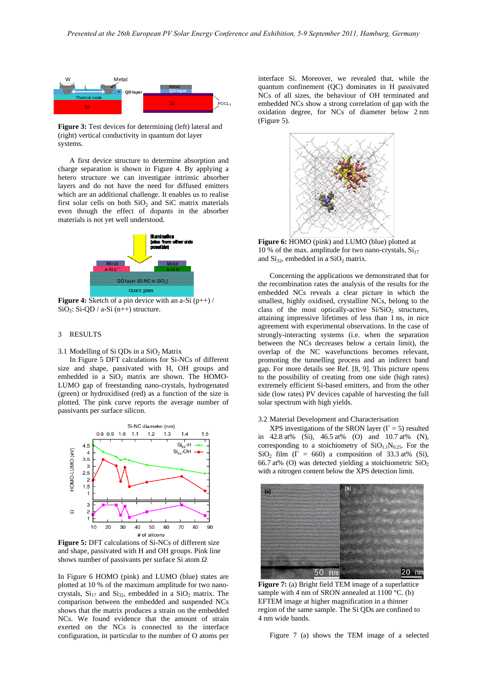

<span id="page-2-0"></span>**Figure 3:** Test devices for determining (left) lateral and (right) vertical conductivity in quantum dot layer systems.

A first device structure to determine absorption and charge separation is shown in [Figure 4.](#page-2-1) By applying a hetero structure we can investigate intrinsic absorber layers and do not have the need for diffused emitters which are an additional challenge. It enables us to realise first solar cells on both  $SiO<sub>2</sub>$  and  $SiC$  matrix materials even though the effect of dopants in the absorber materials is not yet well understood.



<span id="page-2-3"></span><span id="page-2-1"></span>**Figure 4:** Sketch of a pin device with an a-Si (p++) /  $SiO<sub>2</sub>: Si-QD / a-Si (n++) structure.$ 

### 3 RESULTS

## 3.1 Modelling of Si QDs in a  $SiO<sub>2</sub>$  Matrix

In [Figure 5](#page-2-2) DFT calculations for Si-NCs of different size and shape, passivated with H, OH groups and embedded in a  $SiO<sub>2</sub>$  matrix are shown. The HOMO-LUMO gap of freestanding nano-crystals, hydrogenated (green) or hydroxidised (red) as a function of the size is plotted. The pink curve reports the average number of passivants per surface silicon.



<span id="page-2-2"></span>**Figure 5:** DFT calculations of Si-NCs of different size and shape, passivated with H and OH groups. Pink line shows number of passivants per surface Si atom *Ω.*

<span id="page-2-4"></span>In [Figure 6](#page-2-3) HOMO (pink) and LUMO (blue) states are plotted at 10 % of the maximum amplitude for two nanocrystals,  $Si<sub>17</sub>$  and  $Si<sub>32</sub>$ , embedded in a  $SiO<sub>2</sub>$  matrix. The comparison between the embedded and suspended NCs shows that the matrix produces a strain on the embedded NCs. We found evidence that the amount of strain exerted on the NCs is connected to the interface configuration, in particular to the number of O atoms per

interface Si. Moreover, we revealed that, while the quantum confinement (QC) dominates in H passivated NCs of all sizes, the behaviour of OH terminated and embedded NCs show a strong correlation of gap with the oxidation degree, for NCs of diameter below 2 nm ([Figure 5\)](#page-2-2).



**Figure 6:** HOMO (pink) and LUMO (blue) plotted at 10 % of the max. amplitude for two nano-crystals,  $Si_{17}$ and  $Si_{32}$ , embedded in a  $SiO_2$  matrix.

Concerning the applications we demonstrated that for the recombination rates the analysis of the results for the embedded NCs reveals a clear picture in which the smallest, highly oxidised, crystalline NCs, belong to the class of the most optically-active  $Si/SiO<sub>2</sub>$  structures, attaining impressive lifetimes of less than 1 ns, in nice agreement with experimental observations. In the case of strongly-interacting systems (i.e. when the separation between the NCs decreases below a certain limit), the overlap of the NC wavefunctions becomes relevant, promoting the tunnelling process and an indirect band gap. For more details see Ref. [8, 9]. This picture opens to the possibility of creating from one side (high rates) extremely efficient Si-based emitters, and from the other side (low rates) PV devices capable of harvesting the full solar spectrum with high yields.

# 3.2 Material Development and Characterisation

XPS investigations of the SRON layer ( $\Gamma = 5$ ) resulted in 42.8 at% (Si), 46.5 at% (O) and 10.7 at% (N), corresponding to a stoichiometry of  $SiO<sub>1.1</sub>N<sub>0.25</sub>$ . For the SiO<sub>2</sub> film ( $\Gamma = 660$ ) a composition of 33.3 at% (Si), 66.7 at% (O) was detected yielding a stoichiometric  $SiO<sub>2</sub>$ with a nitrogen content below the XPS detection limit.



**Figure 7:** (a) Bright field TEM image of a superlattice sample with 4 nm of SRON annealed at 1100 °C. (b) EFTEM image at higher magnification in a thinner region of the same sample. The Si QDs are confined to 4 nm wide bands.

[Figure 7](#page-2-4) (a) shows the TEM image of a selected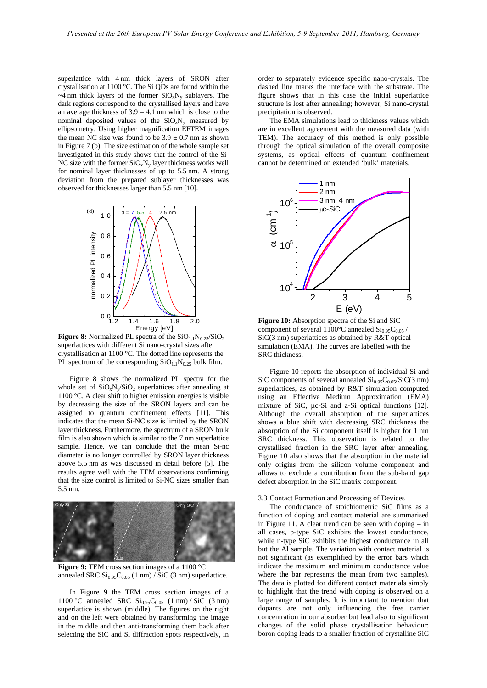superlattice with 4 nm thick layers of SRON after crystallisation at 1100 °C. The Si QDs are found within the  $\sim$ 4 nm thick layers of the former SiO<sub>x</sub>N<sub>y</sub> sublayers. The dark regions correspond to the crystallised layers and have an average thickness of  $3.9 - 4.1$  nm which is close to the nominal deposited values of the  $SiO_xN_y$  measured by ellipsometry. Using higher magnification EFTEM images the mean NC size was found to be  $3.9 \pm 0.7$  nm as shown in [Figure 7](#page-2-4) (b). The size estimation of the whole sample set investigated in this study shows that the control of the Si-NC size with the former  $SiO_xN_y$  layer thickness works well for nominal layer thicknesses of up to 5.5 nm. A strong deviation from the prepared sublayer thicknesses was observed for thicknesses larger than 5.5 nm [10].



<span id="page-3-2"></span><span id="page-3-0"></span>**Figure 8:** Normalized PL spectra of the  $SiO<sub>1.1</sub>N<sub>0.25</sub>/SiO<sub>2</sub>$ superlattices with different Si nano-crystal sizes after crystallisation at 1100 °C. The dotted line represents the PL spectrum of the corresponding  $SiO<sub>1.1</sub>N<sub>0.25</sub>$  bulk film.

[Figure 8](#page-3-0) shows the normalized PL spectra for the whole set of  $SiO_xN_v/SiO_2$  superlattices after annealing at 1100 °C. A clear shift to higher emission energies is visible by decreasing the size of the SRON layers and can be assigned to quantum confinement effects [11]. This indicates that the mean Si-NC size is limited by the SRON layer thickness. Furthermore, the spectrum of a SRON bulk film is also shown which is similar to the 7 nm superlattice sample. Hence, we can conclude that the mean Si-nc diameter is no longer controlled by SRON layer thickness above 5.5 nm as was discussed in detail before [5]. The results agree well with the TEM observations confirming that the size control is limited to Si-NC sizes smaller than 5.5 nm.



<span id="page-3-1"></span>**Figure 9:** TEM cross section images of a 1100 °C annealed SRC  $Si<sub>0.95</sub>C<sub>0.05</sub>$  (1 nm) / SiC (3 nm) superlattice.

In [Figure 9](#page-3-1) the TEM cross section images of a 1100 °C annealed SRC  $Si_{0.95}C_{0.05}$  (1 nm) / SiC (3 nm) superlattice is shown (middle). The figures on the right and on the left were obtained by transforming the image in the middle and then anti-transforming them back after selecting the SiC and Si diffraction spots respectively, in

order to separately evidence specific nano-crystals. The dashed line marks the interface with the substrate. The figure shows that in this case the initial superlattice structure is lost after annealing; however, Si nano-crystal precipitation is observed.

The EMA simulations lead to thickness values which are in excellent agreement with the measured data (with TEM). The accuracy of this method is only possible through the optical simulation of the overall composite systems, as optical effects of quantum confinement cannot be determined on extended 'bulk' materials.



**Figure 10:** Absorption spectra of the Si and SiC component of several 1100 $^{\circ}$ C annealed Si<sub>0.95</sub>C<sub>0.05</sub> /  $SiC(3)$  nm) superlattices as obtained by R&T optical simulation (EMA). The curves are labelled with the SRC thickness.

[Figure 10](#page-3-2) reports the absorption of individual Si and SiC components of several annealed  $Si<sub>0.95</sub>C<sub>0.05</sub>/SiC(3 nm)$ superlattices, as obtained by R&T simulation computed using an Effective Medium Approximation (EMA) mixture of SiC,  $\mu$ c-Si and a-Si optical functions [12]. Although the overall absorption of the superlattices shows a blue shift with decreasing SRC thickness the absorption of the Si component itself is higher for 1 nm SRC thickness. This observation is related to the crystallised fraction in the SRC layer after annealing. [Figure 10](#page-3-2) also shows that the absorption in the material only origins from the silicon volume component and allows to exclude a contribution from the sub-band gap defect absorption in the SiC matrix component.

#### 3.3 Contact Formation and Processing of Devices

The conductance of stoichiometric SiC films as a function of doping and contact material are summarised in [Figure 11](#page-4-0). A clear trend can be seen with doping – in all cases, p-type SiC exhibits the lowest conductance, while n-type SiC exhibits the highest conductance in all but the Al sample. The variation with contact material is not significant (as exemplified by the error bars which indicate the maximum and minimum conductance value where the bar represents the mean from two samples). The data is plotted for different contact materials simply to highlight that the trend with doping is observed on a large range of samples. It is important to mention that dopants are not only influencing the free carrier concentration in our absorber but lead also to significant changes of the solid phase crystallisation behaviour: boron doping leads to a smaller fraction of crystalline SiC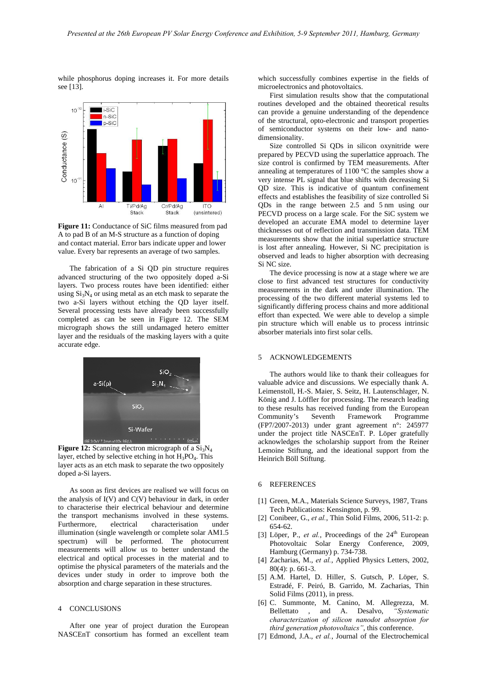while phosphorus doping increases it. For more details see [13].



<span id="page-4-0"></span>**Figure 11:** Conductance of SiC films measured from pad A to pad B of an M-S structure as a function of doping and contact material. Error bars indicate upper and lower value. Every bar represents an average of two samples.

The fabrication of a Si QD pin structure requires advanced structuring of the two oppositely doped a-Si layers. Two process routes have been identified: either using  $Si<sub>3</sub>N<sub>4</sub>$  or using metal as an etch mask to separate the two a-Si layers without etching the QD layer itself. Several processing tests have already been successfully completed as can be seen in [Figure 12](#page-4-1). The SEM micrograph shows the still undamaged hetero emitter layer and the residuals of the masking layers with a quite accurate edge.



<span id="page-4-1"></span>**Figure 12:** Scanning electron micrograph of a  $Si<sub>3</sub>N<sub>4</sub>$ layer, etched by selective etching in hot  $H_3PO_4$ . This layer acts as an etch mask to separate the two oppositely doped a-Si layers.

As soon as first devices are realised we will focus on the analysis of  $I(V)$  and  $C(V)$  behaviour in dark, in order to characterise their electrical behaviour and determine the transport mechanisms involved in these systems. Furthermore, electrical characterisation under illumination (single wavelength or complete solar AM1.5 spectrum) will be performed. The photocurrent measurements will allow us to better understand the electrical and optical processes in the material and to optimise the physical parameters of the materials and the devices under study in order to improve both the absorption and charge separation in these structures.

#### 4 CONCLUSIONS

After one year of project duration the European NASCEnT consortium has formed an excellent team which successfully combines expertise in the fields of microelectronics and photovoltaics.

First simulation results show that the computational routines developed and the obtained theoretical results can provide a genuine understanding of the dependence of the structural, opto-electronic and transport properties of semiconductor systems on their low- and nanodimensionality.

Size controlled Si QDs in silicon oxynitride were prepared by PECVD using the superlattice approach. The size control is confirmed by TEM measurements. After annealing at temperatures of 1100 °C the samples show a very intense PL signal that blue shifts with decreasing Si QD size. This is indicative of quantum confinement effects and establishes the feasibility of size controlled Si QDs in the range between 2.5 and 5 nm using our PECVD process on a large scale. For the SiC system we developed an accurate EMA model to determine layer thicknesses out of reflection and transmission data. TEM measurements show that the initial superlattice structure is lost after annealing. However, Si NC precipitation is observed and leads to higher absorption with decreasing Si NC size.

The device processing is now at a stage where we are close to first advanced test structures for conductivity measurements in the dark and under illumination. The processing of the two different material systems led to significantly differing process chains and more additional effort than expected. We were able to develop a simple pin structure which will enable us to process intrinsic absorber materials into first solar cells.

#### 5 ACKNOWLEDGEMENTS

The authors would like to thank their colleagues for valuable advice and discussions. We especially thank A. Leimenstoll, H.-S. Maier, S. Seitz, H. Lautenschlager, N. König and J. Löffler for processing. The research leading to these results has received funding from the European Community's Seventh Framework Programme (FP7/2007-2013) under grant agreement n°: 245977 under the project title NASCEnT. P. Löper gratefully acknowledges the scholarship support from the Reiner Lemoine Stiftung, and the ideational support from the Heinrich Böll Stiftung.

#### 6 REFERENCES

- [1] Green, M.A., Materials Science Surveys, 1987, Trans Tech Publications: Kensington, p. 99.
- [2] Conibeer, G., *et al.*, Thin Solid Films, 2006, 511-2: p. 654-62.
- [3] Löper, P., *et al.*, Proceedings of the  $24<sup>th</sup>$  European Photovoltaic Solar Energy Conference, 2009, Hamburg (Germany) p. 734-738.
- [4] Zacharias, M., *et al.*, Applied Physics Letters, 2002, 80(4): p. 661-3.
- [5] A.M. Hartel, D. Hiller, S. Gutsch, P. Löper, S. Estradé, F. Peiró, B. Garrido, M. Zacharias, Thin Solid Films (2011), in press.
- [6] C. Summonte, M. Canino, M. Allegrezza, M. Bellettato , and A. Desalvo, *"Systematic characterization of silicon nanodot absorption for third generation photovoltaics"*, this conference.
- [7] Edmond, J.A., *et al.*, Journal of the Electrochemical